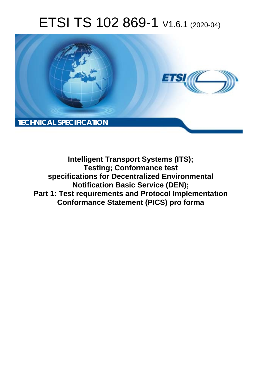# ETSI TS 102 869-1 V1.6.1 (2020-04)



**Intelligent Transport Systems (ITS); Testing; Conformance test specifications for Decentralized Environmental Notification Basic Service (DEN); Part 1: Test requirements and Protocol Implementation Conformance Statement (PICS) pro forma**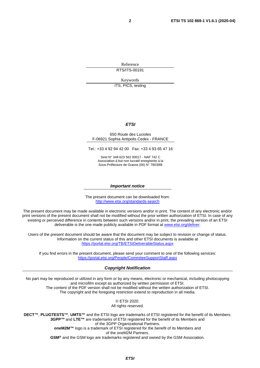Reference RTS/ITS-00191

Keywords

ITS, PICS, testing

#### *ETSI*

#### 650 Route des Lucioles F-06921 Sophia Antipolis Cedex - FRANCE

Tel.: +33 4 92 94 42 00 Fax: +33 4 93 65 47 16

Siret N° 348 623 562 00017 - NAF 742 C Association à but non lucratif enregistrée à la Sous-Préfecture de Grasse (06) N° 7803/88

#### *Important notice*

The present document can be downloaded from: <http://www.etsi.org/standards-search>

The present document may be made available in electronic versions and/or in print. The content of any electronic and/or print versions of the present document shall not be modified without the prior written authorization of ETSI. In case of any existing or perceived difference in contents between such versions and/or in print, the prevailing version of an ETSI deliverable is the one made publicly available in PDF format at [www.etsi.org/deliver](http://www.etsi.org/deliver).

Users of the present document should be aware that the document may be subject to revision or change of status. Information on the current status of this and other ETSI documents is available at <https://portal.etsi.org/TB/ETSIDeliverableStatus.aspx>

If you find errors in the present document, please send your comment to one of the following services: <https://portal.etsi.org/People/CommiteeSupportStaff.aspx>

#### *Copyright Notification*

No part may be reproduced or utilized in any form or by any means, electronic or mechanical, including photocopying and microfilm except as authorized by written permission of ETSI. The content of the PDF version shall not be modified without the written authorization of ETSI. The copyright and the foregoing restriction extend to reproduction in all media.

> © ETSI 2020. All rights reserved.

**DECT™**, **PLUGTESTS™**, **UMTS™** and the ETSI logo are trademarks of ETSI registered for the benefit of its Members. **3GPP™** and **LTE™** are trademarks of ETSI registered for the benefit of its Members and of the 3GPP Organizational Partners. **oneM2M™** logo is a trademark of ETSI registered for the benefit of its Members and of the oneM2M Partners. **GSM®** and the GSM logo are trademarks registered and owned by the GSM Association.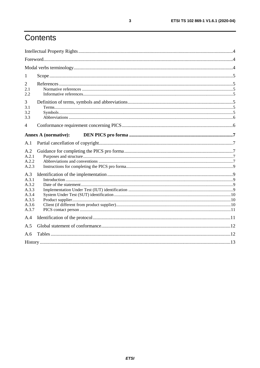# Contents

| 1                                                                  |                             |  |
|--------------------------------------------------------------------|-----------------------------|--|
| 2<br>2.1<br>2.2                                                    |                             |  |
| 3<br>3.1<br>3.2<br>3.3                                             |                             |  |
| $\overline{4}$                                                     |                             |  |
|                                                                    | <b>Annex A (normative):</b> |  |
| A.1                                                                |                             |  |
| A.2<br>A.2.1<br>A.2.2<br>A.2.3                                     |                             |  |
| A.3<br>A.3.1<br>A.3.2<br>A.3.3<br>A.3.4<br>A.3.5<br>A.3.6<br>A.3.7 |                             |  |
| A.4                                                                |                             |  |
| A.5                                                                |                             |  |
| A.6                                                                |                             |  |
|                                                                    |                             |  |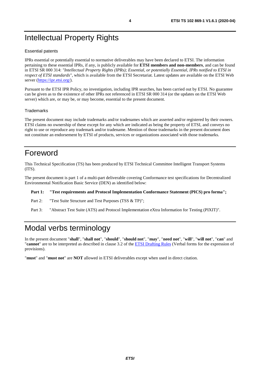# <span id="page-3-0"></span>Intellectual Property Rights

#### Essential patents

IPRs essential or potentially essential to normative deliverables may have been declared to ETSI. The information pertaining to these essential IPRs, if any, is publicly available for **ETSI members and non-members**, and can be found in ETSI SR 000 314: *"Intellectual Property Rights (IPRs); Essential, or potentially Essential, IPRs notified to ETSI in respect of ETSI standards"*, which is available from the ETSI Secretariat. Latest updates are available on the ETSI Web server ([https://ipr.etsi.org/\)](https://ipr.etsi.org/).

Pursuant to the ETSI IPR Policy, no investigation, including IPR searches, has been carried out by ETSI. No guarantee can be given as to the existence of other IPRs not referenced in ETSI SR 000 314 (or the updates on the ETSI Web server) which are, or may be, or may become, essential to the present document.

#### **Trademarks**

The present document may include trademarks and/or tradenames which are asserted and/or registered by their owners. ETSI claims no ownership of these except for any which are indicated as being the property of ETSI, and conveys no right to use or reproduce any trademark and/or tradename. Mention of those trademarks in the present document does not constitute an endorsement by ETSI of products, services or organizations associated with those trademarks.

### Foreword

This Technical Specification (TS) has been produced by ETSI Technical Committee Intelligent Transport Systems (ITS).

The present document is part 1 of a multi-part deliverable covering Conformance test specifications for Decentralized Environmental Notification Basic Service (DEN) as identified below:

#### **Part 1: "Test requirements and Protocol Implementation Conformance Statement (PICS) pro forma";**

Part 2: "Test Suite Structure and Test Purposes (TSS & TP)";

Part 3: "Abstract Test Suite (ATS) and Protocol Implementation eXtra Information for Testing (PIXIT)".

# Modal verbs terminology

In the present document "**shall**", "**shall not**", "**should**", "**should not**", "**may**", "**need not**", "**will**", "**will not**", "**can**" and "**cannot**" are to be interpreted as described in clause 3.2 of the [ETSI Drafting Rules](https://portal.etsi.org/Services/editHelp!/Howtostart/ETSIDraftingRules.aspx) (Verbal forms for the expression of provisions).

"**must**" and "**must not**" are **NOT** allowed in ETSI deliverables except when used in direct citation.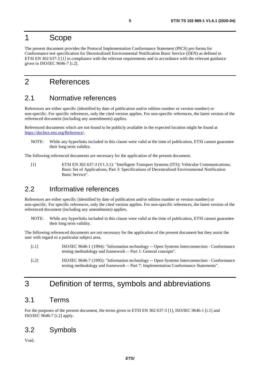### <span id="page-4-0"></span>1 Scope

The present document provides the Protocol Implementation Conformance Statement (PICS) pro forma for Conformance test specification for Decentralized Environmental Notification Basic Service (DEN) as defined in ETSI EN 302 637-3 [1] in compliance with the relevant requirements and in accordance with the relevant guidance given in ISO/IEC 9646-7 [i.2].

## 2 References

### 2.1 Normative references

References are either specific (identified by date of publication and/or edition number or version number) or non-specific. For specific references, only the cited version applies. For non-specific references, the latest version of the referenced document (including any amendments) applies.

Referenced documents which are not found to be publicly available in the expected location might be found at <https://docbox.etsi.org/Reference/>.

NOTE: While any hyperlinks included in this clause were valid at the time of publication, ETSI cannot guarantee their long term validity.

The following referenced documents are necessary for the application of the present document.

[1] ETSI EN 302 637-3 (V1.3.1): "Intelligent Transport Systems (ITS); Vehicular Communications; Basic Set of Applications; Part 3: Specifications of Decentralized Environmental Notification Basic Service".

### 2.2 Informative references

References are either specific (identified by date of publication and/or edition number or version number) or non-specific. For specific references, only the cited version applies. For non-specific references, the latest version of the referenced document (including any amendments) applies.

NOTE: While any hyperlinks included in this clause were valid at the time of publication, ETSI cannot guarantee their long term validity.

The following referenced documents are not necessary for the application of the present document but they assist the user with regard to a particular subject area.

| [i, 1] | ISO/IEC 9646-1 (1994): "Information technology -- Open Systems Interconnection - Conformance<br>testing methodology and framework -- Part 1: General concepts".                      |
|--------|--------------------------------------------------------------------------------------------------------------------------------------------------------------------------------------|
| [i.2]  | ISO/IEC 9646-7 (1995): "Information technology -- Open Systems Interconnection - Conformance<br>testing methodology and framework -- Part 7: Implementation Conformance Statements". |

### 3 Definition of terms, symbols and abbreviations

### 3.1 Terms

For the purposes of the present document, the terms given in ETSI EN 302 637-3 [1], ISO/IEC 9646-1 [i.1] and ISO/IEC 9646-7 [i.2] apply.

### 3.2 Symbols

Void.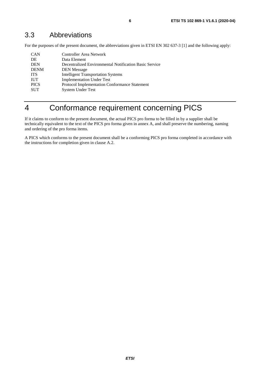### <span id="page-5-0"></span>3.3 Abbreviations

For the purposes of the present document, the abbreviations given in ETSI EN 302 637-3 [[1](#page-4-0)] and the following apply:

| <b>CAN</b>  | <b>Controller Area Network</b>                         |
|-------------|--------------------------------------------------------|
| DE          | Data Element                                           |
| <b>DEN</b>  | Decentralized Environmental Notification Basic Service |
| <b>DENM</b> | <b>DEN</b> Message                                     |
| <b>ITS</b>  | <b>Intelligent Transportation Systems</b>              |
| <b>IUT</b>  | <b>Implementation Under Test</b>                       |
| <b>PICS</b> | Protocol Implementation Conformance Statement          |
| <b>SUT</b>  | <b>System Under Test</b>                               |
|             |                                                        |

# 4 Conformance requirement concerning PICS

If it claims to conform to the present document, the actual PICS pro forma to be filled in by a supplier shall be technically equivalent to the text of the PICS pro forma given in annex A, and shall preserve the numbering, naming and ordering of the pro forma items.

A PICS which conforms to the present document shall be a conforming PICS pro forma completed in accordance with the instructions for completion given in clause A.2.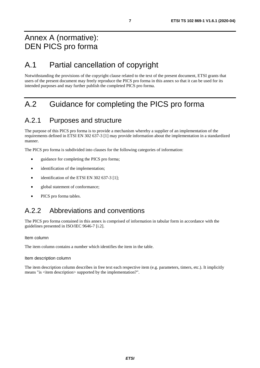# <span id="page-6-0"></span>Annex A (normative): DEN PICS pro forma

# A.1 Partial cancellation of copyright

Notwithstanding the provisions of the copyright clause related to the text of the present document, ETSI grants that users of the present document may freely reproduce the PICS pro forma in this annex so that it can be used for its intended purposes and may further publish the completed PICS pro forma.

# A.2 Guidance for completing the PICS pro forma

### A.2.1 Purposes and structure

The purpose of this PICS pro forma is to provide a mechanism whereby a supplier of an implementation of the requirements defined in ETSI EN 302 637-3 [\[1](#page-4-0)] may provide information about the implementation in a standardized manner.

The PICS pro forma is subdivided into clauses for the following categories of information:

- guidance for completing the PICS pro forma;
- identification of the implementation;
- identification of the ETSI EN 302 637-3 [\[1\]](#page-4-0);
- global statement of conformance;
- PICS pro forma tables.

### A.2.2 Abbreviations and conventions

The PICS pro forma contained in this annex is comprised of information in tabular form in accordance with the guidelines presented in ISO/IEC 9646-7 [[i.2\]](#page-4-0).

#### Item column

The item column contains a number which identifies the item in the table.

#### Item description column

The item description column describes in free text each respective item (e.g. parameters, timers, etc.). It implicitly means "is <item description> supported by the implementation?".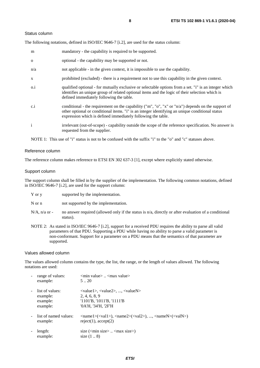#### Status column

The following notations, defined in ISO/IEC 9646-7 [\[i.2](#page-4-0)], are used for the status column:

| m            | mandatory - the capability is required to be supported.                                                                                                                                                                                                               |
|--------------|-----------------------------------------------------------------------------------------------------------------------------------------------------------------------------------------------------------------------------------------------------------------------|
| $\mathbf{O}$ | optional - the capability may be supported or not.                                                                                                                                                                                                                    |
| n/a          | not applicable - in the given context, it is impossible to use the capability.                                                                                                                                                                                        |
| X            | prohibited (excluded) - there is a requirement not to use this capability in the given context.                                                                                                                                                                       |
| $0.\dot{1}$  | qualified optional - for mutually exclusive or selectable options from a set. "i" is an integer which<br>identifies an unique group of related optional items and the logic of their selection which is<br>defined immediately following the table.                   |
| c.i          | conditional - the requirement on the capability ("m", "o", "x" or "n/a") depends on the support of<br>other optional or conditional items. "i" is an integer identifying an unique conditional status<br>expression which is defined immediately following the table. |
| $\mathbf{i}$ | irrelevant (out-of-scope) - capability outside the scope of the reference specification. No answer is<br>requested from the supplier.                                                                                                                                 |

NOTE 1: This use of "i" status is not to be confused with the suffix "i" to the "o" and "c" statuses above.

#### Reference column

The reference column makes reference to ETSI EN 302 637-3 [[1\]](#page-4-0), except where explicitly stated otherwise.

#### Support column

The support column shall be filled in by the supplier of the implementation. The following common notations, defined in ISO/IEC 9646-7 [\[i.2\]](#page-4-0), are used for the support column:

| $Y$ or $V$ |  | supported by the implementation. |
|------------|--|----------------------------------|
|            |  |                                  |

N or n not supported by the implementation.

- $N/A$ , n/a or no answer required (allowed only if the status is n/a, directly or after evaluation of a conditional status).
- NOTE 2: As stated in ISO/IEC 9646-7 [[i.2](#page-4-0)], support for a received PDU requires the ability to parse all valid parameters of that PDU. Supporting a PDU while having no ability to parse a valid parameter is non-conformant. Support for a parameter on a PDU means that the semantics of that parameter are supported.

#### Values allowed column

The values allowed column contains the type, the list, the range, or the length of values allowed. The following notations are used:

| range of values:<br>example:                        | $\leq$ min value $>$ $\leq$ max value $>$<br>520                                                                                                                                                            |
|-----------------------------------------------------|-------------------------------------------------------------------------------------------------------------------------------------------------------------------------------------------------------------|
| list of values:<br>example:<br>example:<br>example: | $\langle \text{value1}\rangle, \langle \text{value2}\rangle, , \langle \text{valueN}\rangle$<br>2, 4, 6, 8, 9<br>$'1101'B$ , $'1011'B$ , $'1111'B$<br>'0A'H, '34'H, '2F'H                                   |
| list of named values:<br>example:                   | $\langle \text{name1}\rangle(\langle \text{val1}\rangle)$ , $\langle \text{name2}\rangle(\langle \text{val2}\rangle)$ , , $\langle \text{nameN}\rangle(\langle \text{valN}\rangle)$<br>reject(1), accept(2) |
| length:<br>example:                                 | size $(\text{min size} > \dots < \text{max size})$<br>size $(18)$                                                                                                                                           |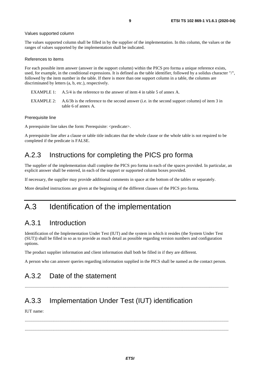#### <span id="page-8-0"></span>Values supported column

The values supported column shall be filled in by the supplier of the implementation. In this column, the values or the ranges of values supported by the implementation shall be indicated.

#### References to items

For each possible item answer (answer in the support column) within the PICS pro forma a unique reference exists, used, for example, in the conditional expressions. It is defined as the table identifier, followed by a solidus character "/", followed by the item number in the table. If there is more than one support column in a table, the columns are discriminated by letters (a, b, etc.), respectively.

- EXAMPLE 1: A.5/4 is the reference to the answer of item 4 in table 5 of annex A.
- EXAMPLE 2: A.6/3b is the reference to the second answer (i.e. in the second support column) of item 3 in table 6 of annex A.

#### Prerequisite line

A prerequisite line takes the form: Prerequisite: <predicate>.

A prerequisite line after a clause or table title indicates that the whole clause or the whole table is not required to be completed if the predicate is FALSE.

### A.2.3 Instructions for completing the PICS pro forma

The supplier of the implementation shall complete the PICS pro forma in each of the spaces provided. In particular, an explicit answer shall be entered, in each of the support or supported column boxes provided.

If necessary, the supplier may provide additional comments in space at the bottom of the tables or separately.

More detailed instructions are given at the beginning of the different clauses of the PICS pro forma.

### A.3 Identification of the implementation

### A.3.1 Introduction

Identification of the Implementation Under Test (IUT) and the system in which it resides (the System Under Test (SUT)) shall be filled in so as to provide as much detail as possible regarding version numbers and configuration options.

The product supplier information and client information shall both be filled in if they are different.

A person who can answer queries regarding information supplied in the PICS shall be named as the contact person.

.........................................................................................................................................................................................

### A.3.2 Date of the statement

# A.3.3 Implementation Under Test (IUT) identification

IUT name:

 ......................................................................................................................................................................................... .........................................................................................................................................................................................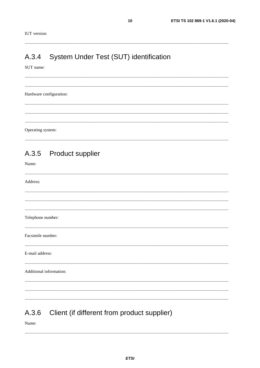<span id="page-9-0"></span>

#### System Under Test (SUT) identification  $A.3.4$

#### SUT name:

Hardware configuration: Operating system:

#### **Product supplier** A.3.5

Name:

| Address:                |  |  |  |
|-------------------------|--|--|--|
|                         |  |  |  |
|                         |  |  |  |
| Telephone number:       |  |  |  |
|                         |  |  |  |
| Facsimile number:       |  |  |  |
| E-mail address:         |  |  |  |
| Additional information: |  |  |  |
|                         |  |  |  |
|                         |  |  |  |
|                         |  |  |  |

#### Client (if different from product supplier) A.3.6

Name:

 $10$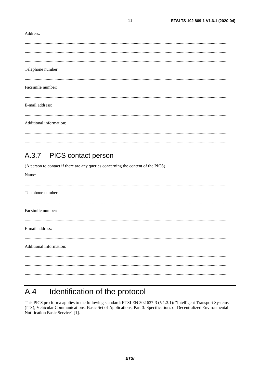#### <span id="page-10-0"></span>Address:

| Telephone number:       |  |  |
|-------------------------|--|--|
| Facsimile number:       |  |  |
| E-mail address:         |  |  |
| Additional information: |  |  |
|                         |  |  |
|                         |  |  |

 $11$ 

#### PICS contact person  $A.3.7$

(A person to contact if there are any queries concerning the content of the PICS)

| Name:                   |
|-------------------------|
| Telephone number:       |
| Facsimile number:       |
| E-mail address:         |
| Additional information: |
|                         |
|                         |

#### Identification of the protocol  $A.4$

This PICS pro forma applies to the following standard: ETSI EN 302 637-3 (V1.3.1): "Intelligent Transport Systems (ITS); Vehicular Communications; Basic Set of Applications; Part 3: Specifications of Decentralized Environmental Notification Basic Service" [1].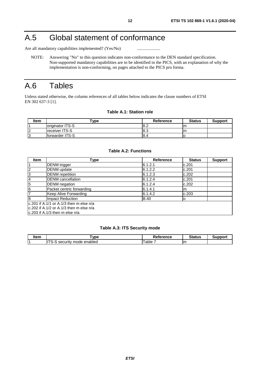# <span id="page-11-0"></span>A.5 Global statement of conformance

Are all mandatory capabilities implemented? (Yes/No) ............................

NOTE: Answering "No" to this question indicates non-conformance to the DEN standard specification. Non-supported mandatory capabilities are to be identified in the PICS, with an explanation of why the implementation is non-conforming, on pages attached to the PICS pro forma.

# A.6 Tables

Unless stated otherwise, the column references of all tables below indicates the clause numbers of ETSI EN 302 637-3 [\[1](#page-4-0)].

#### **Table A.1: Station role**

| <b>Item</b> | -vpe                    | Reference | <b>Status</b> | <b>Support</b> |
|-------------|-------------------------|-----------|---------------|----------------|
|             | <b>Originator ITS-S</b> | 8.2       | m             |                |
| $\sqrt{2}$  | <b>Ireceiver ITS-S</b>  | l8.3      | m             |                |
| ıc<br>N     | forwarder ITS-S         | 8.4       |               |                |

#### **Table A.2: Functions**

| <b>Item</b>    | Type                                             | <b>Reference</b> | <b>Status</b> | <b>Support</b> |  |
|----------------|--------------------------------------------------|------------------|---------------|----------------|--|
|                | <b>DENM</b> trigger                              | 6.1.2.1          | c.201         |                |  |
| $\overline{c}$ | <b>DENM</b> update                               | 6.1.2.2          | c.201         |                |  |
| 3              | <b>DENM</b> repetition                           | 6.1.2.3          | c.202         |                |  |
| $\overline{4}$ | <b>DENM</b> cancellation                         | 6.1.2.4          | c.201         |                |  |
| 5              | <b>DENM</b> negation                             | 6.1.2.4          | c.202         |                |  |
| $\overline{6}$ | Packet centric forwarding                        | 6.1.4.1          | m             |                |  |
| $\overline{7}$ | Keep Alive Forwarding                            | 6.1.4.2          | c.203         |                |  |
| $\overline{8}$ | Impact Reduction                                 | <b>B.40</b>      | о             |                |  |
|                | lc.201 if A.1/1 or A.1/3 then m else n/a         |                  |               |                |  |
|                | $\alpha$ c.202 if A.1/2 or A.1/3 then m else n/a |                  |               |                |  |
|                | $ c.203$ if A.1/3 then m else n/a                |                  |               |                |  |

#### **Table A.3: ITS Security mode**

| 1 | <b>vpe</b>                                   | ъ.<br>eference<br>кет. | $74 - 411 -$<br>atus |  |
|---|----------------------------------------------|------------------------|----------------------|--|
|   | $-$<br>enabled<br>mode<br>uritv<br>∼-<br>580 | able                   |                      |  |